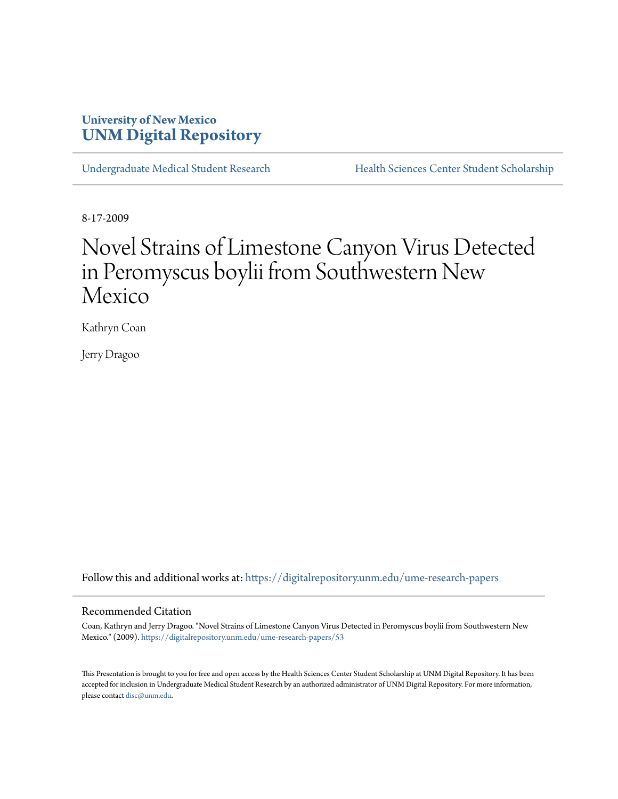## **University of New Mexico [UNM Digital Repository](https://digitalrepository.unm.edu?utm_source=digitalrepository.unm.edu%2Fume-research-papers%2F53&utm_medium=PDF&utm_campaign=PDFCoverPages)**

[Undergraduate Medical Student Research](https://digitalrepository.unm.edu/ume-research-papers?utm_source=digitalrepository.unm.edu%2Fume-research-papers%2F53&utm_medium=PDF&utm_campaign=PDFCoverPages) [Health Sciences Center Student Scholarship](https://digitalrepository.unm.edu/hsc-students?utm_source=digitalrepository.unm.edu%2Fume-research-papers%2F53&utm_medium=PDF&utm_campaign=PDFCoverPages)

8-17-2009

# Novel Strains of Limestone Canyon Virus Detected in Peromyscus boylii from Southwestern New Mexico

Kathryn Coan

Jerry Dragoo

Follow this and additional works at: [https://digitalrepository.unm.edu/ume-research-papers](https://digitalrepository.unm.edu/ume-research-papers?utm_source=digitalrepository.unm.edu%2Fume-research-papers%2F53&utm_medium=PDF&utm_campaign=PDFCoverPages)

#### Recommended Citation

Coan, Kathryn and Jerry Dragoo. "Novel Strains of Limestone Canyon Virus Detected in Peromyscus boylii from Southwestern New Mexico." (2009). [https://digitalrepository.unm.edu/ume-research-papers/53](https://digitalrepository.unm.edu/ume-research-papers/53?utm_source=digitalrepository.unm.edu%2Fume-research-papers%2F53&utm_medium=PDF&utm_campaign=PDFCoverPages)

This Presentation is brought to you for free and open access by the Health Sciences Center Student Scholarship at UNM Digital Repository. It has been accepted for inclusion in Undergraduate Medical Student Research by an authorized administrator of UNM Digital Repository. For more information, please contact [disc@unm.edu.](mailto:disc@unm.edu)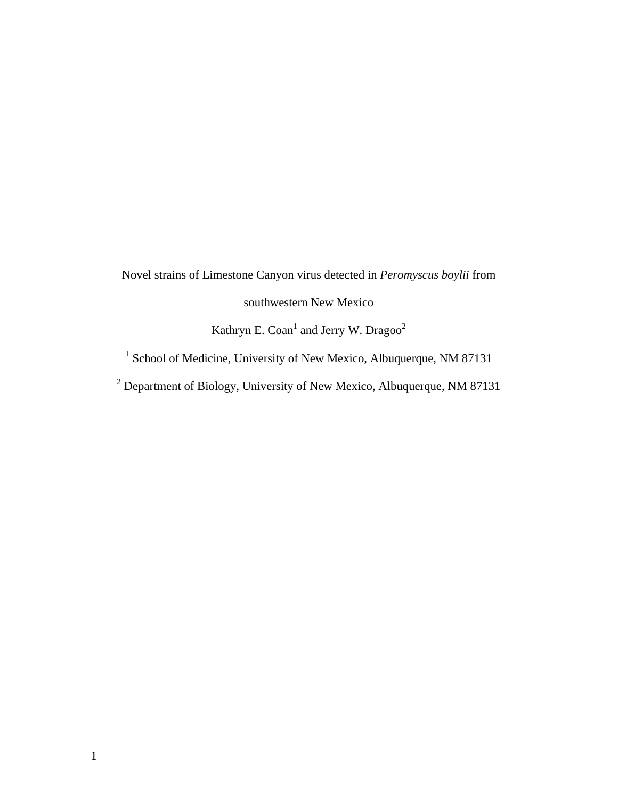Novel strains of Limestone Canyon virus detected in *Peromyscus boylii* from southwestern New Mexico Kathryn E. Coan<sup>1</sup> and Jerry W. Dragoo<sup>2</sup>

<sup>1</sup> School of Medicine, University of New Mexico, Albuquerque, NM 87131

<sup>2</sup> Department of Biology, University of New Mexico, Albuquerque, NM 87131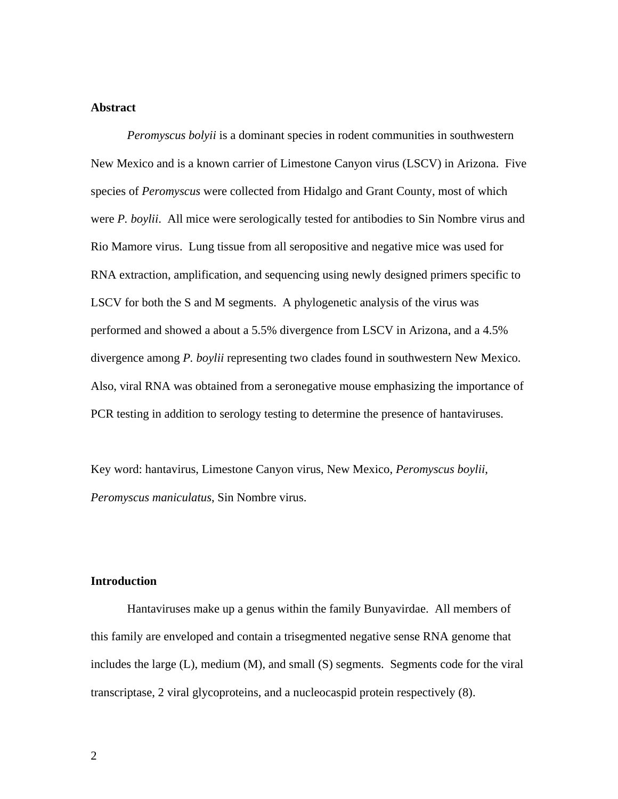#### **Abstract**

*Peromyscus bolyii* is a dominant species in rodent communities in southwestern New Mexico and is a known carrier of Limestone Canyon virus (LSCV) in Arizona. Five species of *Peromyscus* were collected from Hidalgo and Grant County, most of which were *P. boylii*. All mice were serologically tested for antibodies to Sin Nombre virus and Rio Mamore virus. Lung tissue from all seropositive and negative mice was used for RNA extraction, amplification, and sequencing using newly designed primers specific to LSCV for both the S and M segments. A phylogenetic analysis of the virus was performed and showed a about a 5.5% divergence from LSCV in Arizona, and a 4.5% divergence among *P. boylii* representing two clades found in southwestern New Mexico. Also, viral RNA was obtained from a seronegative mouse emphasizing the importance of PCR testing in addition to serology testing to determine the presence of hantaviruses.

Key word: hantavirus, Limestone Canyon virus, New Mexico, *Peromyscus boylii*, *Peromyscus maniculatus*, Sin Nombre virus.

### **Introduction**

Hantaviruses make up a genus within the family Bunyavirdae. All members of this family are enveloped and contain a trisegmented negative sense RNA genome that includes the large (L), medium (M), and small (S) segments. Segments code for the viral transcriptase, 2 viral glycoproteins, and a nucleocaspid protein respectively (8).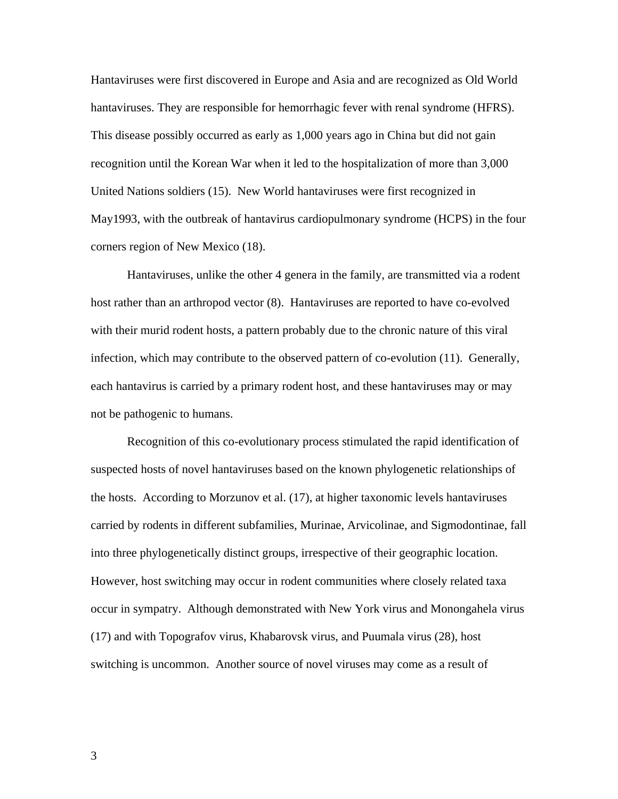Hantaviruses were first discovered in Europe and Asia and are recognized as Old World hantaviruses. They are responsible for hemorrhagic fever with renal syndrome (HFRS). This disease possibly occurred as early as 1,000 years ago in China but did not gain recognition until the Korean War when it led to the hospitalization of more than 3,000 United Nations soldiers (15). New World hantaviruses were first recognized in May1993, with the outbreak of hantavirus cardiopulmonary syndrome (HCPS) in the four corners region of New Mexico (18).

Hantaviruses, unlike the other 4 genera in the family, are transmitted via a rodent host rather than an arthropod vector (8). Hantaviruses are reported to have co-evolved with their murid rodent hosts, a pattern probably due to the chronic nature of this viral infection, which may contribute to the observed pattern of co-evolution (11). Generally, each hantavirus is carried by a primary rodent host, and these hantaviruses may or may not be pathogenic to humans.

Recognition of this co-evolutionary process stimulated the rapid identification of suspected hosts of novel hantaviruses based on the known phylogenetic relationships of the hosts. According to Morzunov et al. (17), at higher taxonomic levels hantaviruses carried by rodents in different subfamilies, Murinae, Arvicolinae, and Sigmodontinae, fall into three phylogenetically distinct groups, irrespective of their geographic location. However, host switching may occur in rodent communities where closely related taxa occur in sympatry. Although demonstrated with New York virus and Monongahela virus (17) and with Topografov virus, Khabarovsk virus, and Puumala virus (28), host switching is uncommon. Another source of novel viruses may come as a result of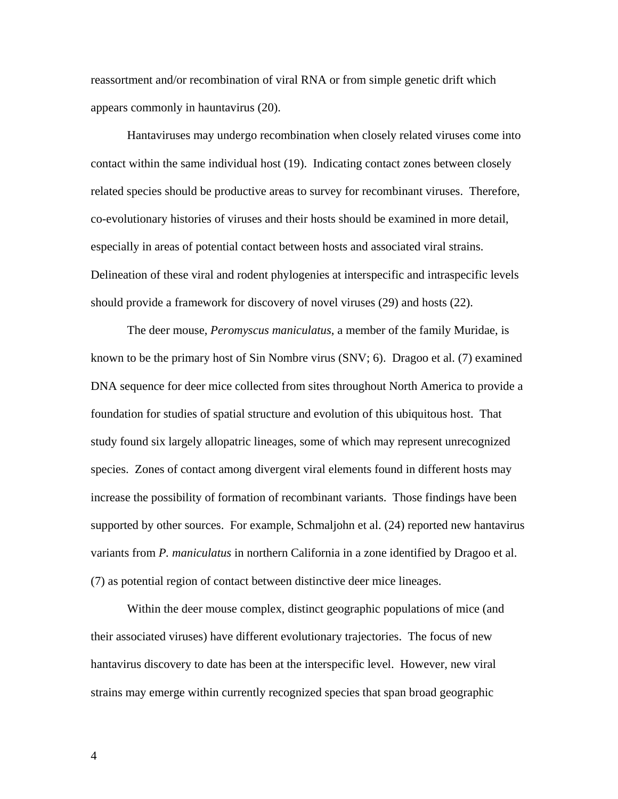reassortment and/or recombination of viral RNA or from simple genetic drift which appears commonly in hauntavirus (20).

Hantaviruses may undergo recombination when closely related viruses come into contact within the same individual host (19). Indicating contact zones between closely related species should be productive areas to survey for recombinant viruses. Therefore, co-evolutionary histories of viruses and their hosts should be examined in more detail, especially in areas of potential contact between hosts and associated viral strains. Delineation of these viral and rodent phylogenies at interspecific and intraspecific levels should provide a framework for discovery of novel viruses (29) and hosts (22).

The deer mouse, *Peromyscus maniculatus*, a member of the family Muridae, is known to be the primary host of Sin Nombre virus (SNV; 6). Dragoo et al. (7) examined DNA sequence for deer mice collected from sites throughout North America to provide a foundation for studies of spatial structure and evolution of this ubiquitous host. That study found six largely allopatric lineages, some of which may represent unrecognized species. Zones of contact among divergent viral elements found in different hosts may increase the possibility of formation of recombinant variants. Those findings have been supported by other sources. For example, Schmaljohn et al. (24) reported new hantavirus variants from *P. maniculatus* in northern California in a zone identified by Dragoo et al. (7) as potential region of contact between distinctive deer mice lineages.

Within the deer mouse complex, distinct geographic populations of mice (and their associated viruses) have different evolutionary trajectories. The focus of new hantavirus discovery to date has been at the interspecific level. However, new viral strains may emerge within currently recognized species that span broad geographic

4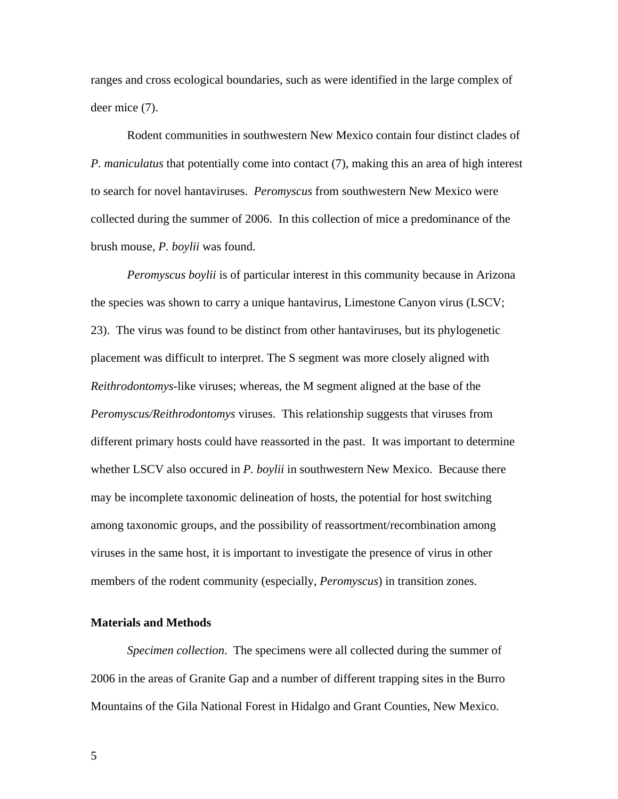ranges and cross ecological boundaries, such as were identified in the large complex of deer mice (7).

Rodent communities in southwestern New Mexico contain four distinct clades of *P. maniculatus* that potentially come into contact (7), making this an area of high interest to search for novel hantaviruses. *Peromyscus* from southwestern New Mexico were collected during the summer of 2006. In this collection of mice a predominance of the brush mouse, *P. boylii* was found.

*Peromyscus boylii* is of particular interest in this community because in Arizona the species was shown to carry a unique hantavirus, Limestone Canyon virus (LSCV; 23). The virus was found to be distinct from other hantaviruses, but its phylogenetic placement was difficult to interpret. The S segment was more closely aligned with *Reithrodontomys*-like viruses; whereas, the M segment aligned at the base of the *Peromyscus/Reithrodontomys* viruses. This relationship suggests that viruses from different primary hosts could have reassorted in the past. It was important to determine whether LSCV also occured in *P. boylii* in southwestern New Mexico. Because there may be incomplete taxonomic delineation of hosts, the potential for host switching among taxonomic groups, and the possibility of reassortment/recombination among viruses in the same host, it is important to investigate the presence of virus in other members of the rodent community (especially, *Peromyscus*) in transition zones.

### **Materials and Methods**

*Specimen collection*. The specimens were all collected during the summer of 2006 in the areas of Granite Gap and a number of different trapping sites in the Burro Mountains of the Gila National Forest in Hidalgo and Grant Counties, New Mexico.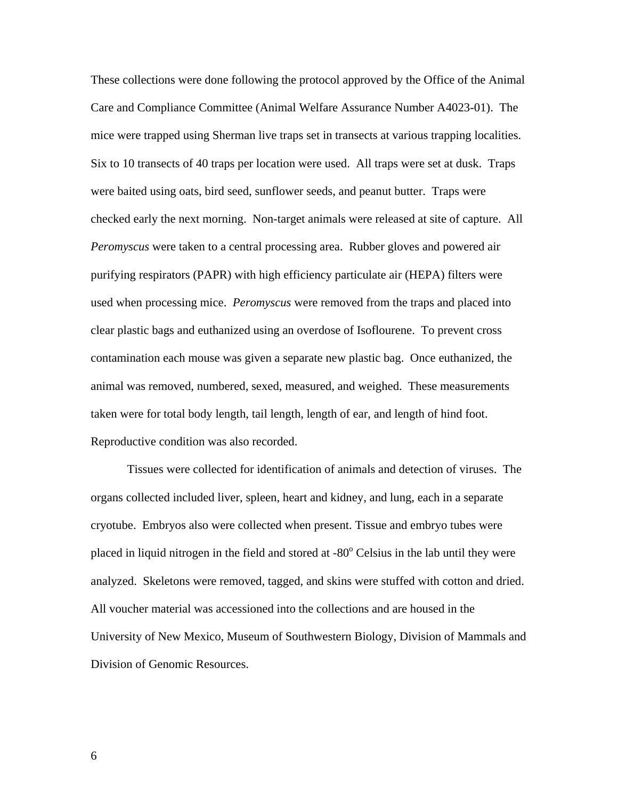These collections were done following the protocol approved by the Office of the Animal Care and Compliance Committee (Animal Welfare Assurance Number A4023-01). The mice were trapped using Sherman live traps set in transects at various trapping localities. Six to 10 transects of 40 traps per location were used. All traps were set at dusk. Traps were baited using oats, bird seed, sunflower seeds, and peanut butter. Traps were checked early the next morning. Non-target animals were released at site of capture. All *Peromyscus* were taken to a central processing area. Rubber gloves and powered air purifying respirators (PAPR) with high efficiency particulate air (HEPA) filters were used when processing mice. *Peromyscus* were removed from the traps and placed into clear plastic bags and euthanized using an overdose of Isoflourene. To prevent cross contamination each mouse was given a separate new plastic bag. Once euthanized, the animal was removed, numbered, sexed, measured, and weighed. These measurements taken were for total body length, tail length, length of ear, and length of hind foot. Reproductive condition was also recorded.

Tissues were collected for identification of animals and detection of viruses. The organs collected included liver, spleen, heart and kidney, and lung, each in a separate cryotube. Embryos also were collected when present. Tissue and embryo tubes were placed in liquid nitrogen in the field and stored at -80° Celsius in the lab until they were analyzed. Skeletons were removed, tagged, and skins were stuffed with cotton and dried. All voucher material was accessioned into the collections and are housed in the University of New Mexico, Museum of Southwestern Biology, Division of Mammals and Division of Genomic Resources.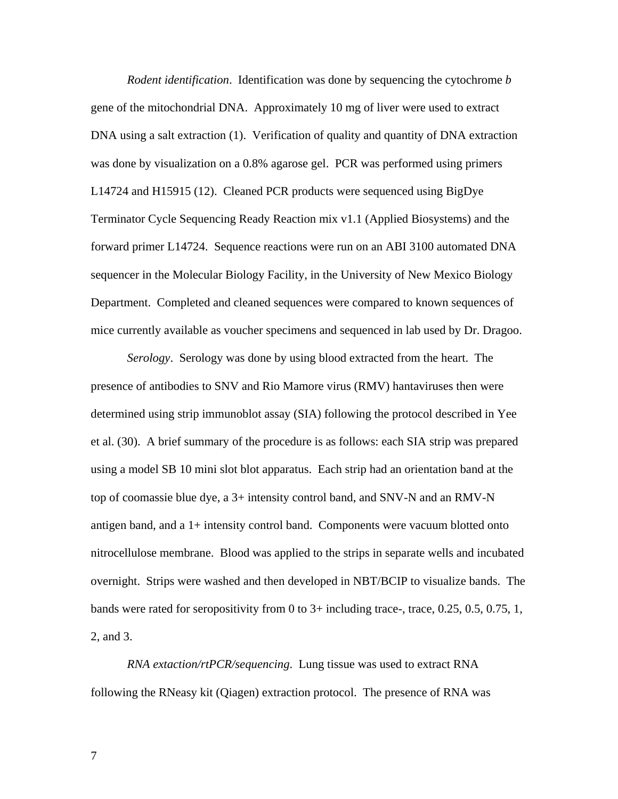*Rodent identification*. Identification was done by sequencing the cytochrome *b* gene of the mitochondrial DNA. Approximately 10 mg of liver were used to extract DNA using a salt extraction (1). Verification of quality and quantity of DNA extraction was done by visualization on a 0.8% agarose gel. PCR was performed using primers L14724 and H15915 (12). Cleaned PCR products were sequenced using BigDye Terminator Cycle Sequencing Ready Reaction mix v1.1 (Applied Biosystems) and the forward primer L14724. Sequence reactions were run on an ABI 3100 automated DNA sequencer in the Molecular Biology Facility, in the University of New Mexico Biology Department. Completed and cleaned sequences were compared to known sequences of mice currently available as voucher specimens and sequenced in lab used by Dr. Dragoo.

*Serology*. Serology was done by using blood extracted from the heart. The presence of antibodies to SNV and Rio Mamore virus (RMV) hantaviruses then were determined using strip immunoblot assay (SIA) following the protocol described in Yee et al. (30). A brief summary of the procedure is as follows: each SIA strip was prepared using a model SB 10 mini slot blot apparatus. Each strip had an orientation band at the top of coomassie blue dye, a 3+ intensity control band, and SNV-N and an RMV-N antigen band, and a 1+ intensity control band. Components were vacuum blotted onto nitrocellulose membrane. Blood was applied to the strips in separate wells and incubated overnight. Strips were washed and then developed in NBT/BCIP to visualize bands. The bands were rated for seropositivity from 0 to 3+ including trace-, trace, 0.25, 0.5, 0.75, 1, 2, and 3.

*RNA extaction/rtPCR/sequencing*. Lung tissue was used to extract RNA following the RNeasy kit (Qiagen) extraction protocol. The presence of RNA was

7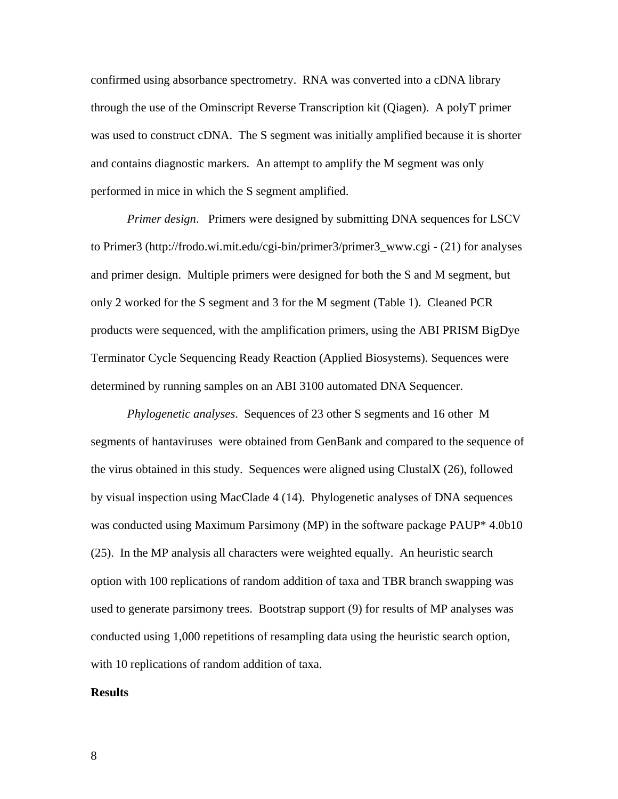confirmed using absorbance spectrometry. RNA was converted into a cDNA library through the use of the Ominscript Reverse Transcription kit (Qiagen). A polyT primer was used to construct cDNA. The S segment was initially amplified because it is shorter and contains diagnostic markers. An attempt to amplify the M segment was only performed in mice in which the S segment amplified.

*Primer design*. Primers were designed by submitting DNA sequences for LSCV to Primer3 (http://frodo.wi.mit.edu/cgi-bin/primer3/primer3\_www.cgi - (21) for analyses and primer design. Multiple primers were designed for both the S and M segment, but only 2 worked for the S segment and 3 for the M segment (Table 1). Cleaned PCR products were sequenced, with the amplification primers, using the ABI PRISM BigDye Terminator Cycle Sequencing Ready Reaction (Applied Biosystems). Sequences were determined by running samples on an ABI 3100 automated DNA Sequencer.

*Phylogenetic analyses*. Sequences of 23 other S segments and 16 other M segments of hantaviruses were obtained from GenBank and compared to the sequence of the virus obtained in this study. Sequences were aligned using ClustalX (26), followed by visual inspection using MacClade 4 (14). Phylogenetic analyses of DNA sequences was conducted using Maximum Parsimony (MP) in the software package PAUP<sup>\*</sup> 4.0b10 (25). In the MP analysis all characters were weighted equally. An heuristic search option with 100 replications of random addition of taxa and TBR branch swapping was used to generate parsimony trees. Bootstrap support (9) for results of MP analyses was conducted using 1,000 repetitions of resampling data using the heuristic search option, with 10 replications of random addition of taxa.

#### **Results**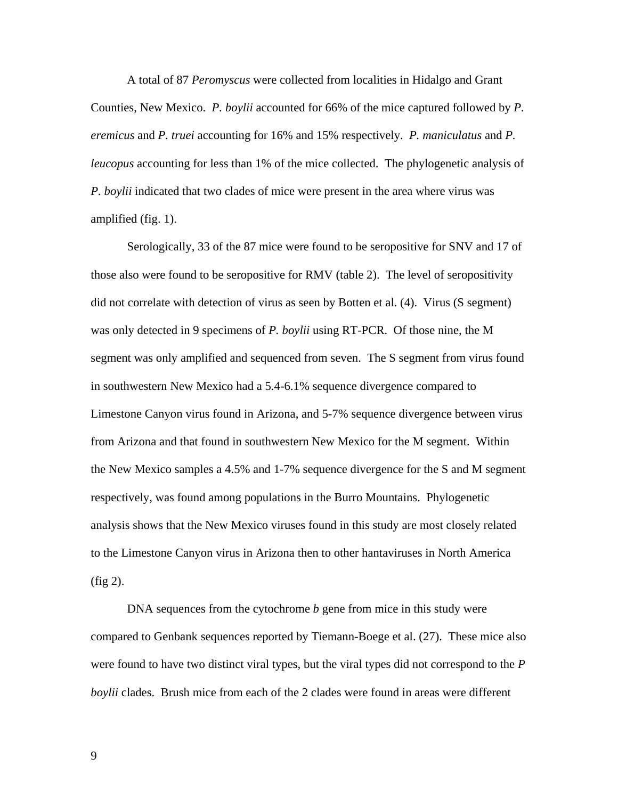A total of 87 *Peromyscus* were collected from localities in Hidalgo and Grant Counties, New Mexico. *P. boylii* accounted for 66% of the mice captured followed by *P. eremicus* and *P. truei* accounting for 16% and 15% respectively. *P. maniculatus* and *P. leucopus* accounting for less than 1% of the mice collected. The phylogenetic analysis of *P. boylii* indicated that two clades of mice were present in the area where virus was amplified (fig. 1).

Serologically, 33 of the 87 mice were found to be seropositive for SNV and 17 of those also were found to be seropositive for RMV (table 2). The level of seropositivity did not correlate with detection of virus as seen by Botten et al. (4). Virus (S segment) was only detected in 9 specimens of *P. boylii* using RT-PCR. Of those nine, the M segment was only amplified and sequenced from seven. The S segment from virus found in southwestern New Mexico had a 5.4-6.1% sequence divergence compared to Limestone Canyon virus found in Arizona, and 5-7% sequence divergence between virus from Arizona and that found in southwestern New Mexico for the M segment. Within the New Mexico samples a 4.5% and 1-7% sequence divergence for the S and M segment respectively, was found among populations in the Burro Mountains. Phylogenetic analysis shows that the New Mexico viruses found in this study are most closely related to the Limestone Canyon virus in Arizona then to other hantaviruses in North America (fig 2).

DNA sequences from the cytochrome *b* gene from mice in this study were compared to Genbank sequences reported by Tiemann-Boege et al. (27). These mice also were found to have two distinct viral types, but the viral types did not correspond to the *P boylii* clades. Brush mice from each of the 2 clades were found in areas were different

9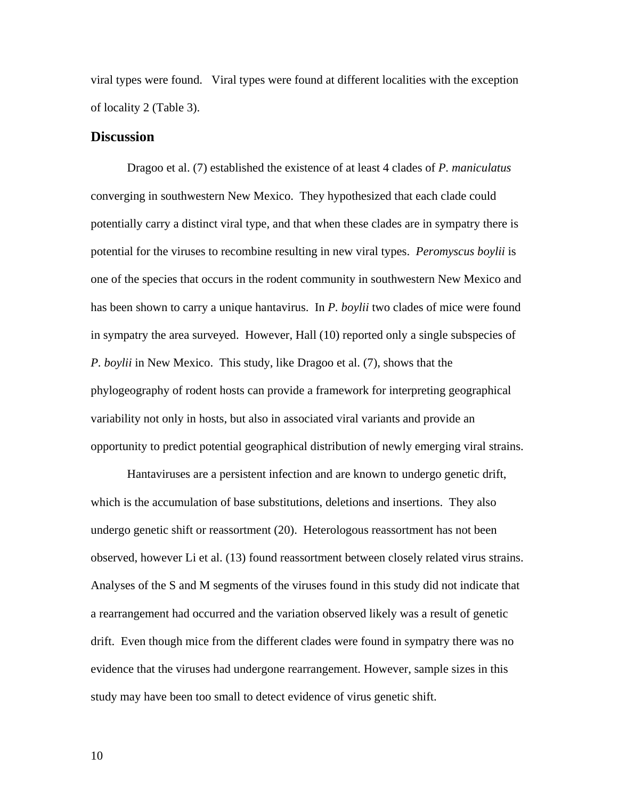viral types were found. Viral types were found at different localities with the exception of locality 2 (Table 3).

#### **Discussion**

 Dragoo et al. (7) established the existence of at least 4 clades of *P. maniculatus* converging in southwestern New Mexico. They hypothesized that each clade could potentially carry a distinct viral type, and that when these clades are in sympatry there is potential for the viruses to recombine resulting in new viral types. *Peromyscus boylii* is one of the species that occurs in the rodent community in southwestern New Mexico and has been shown to carry a unique hantavirus. In *P. boylii* two clades of mice were found in sympatry the area surveyed. However, Hall (10) reported only a single subspecies of *P. boylii* in New Mexico. This study, like Dragoo et al. (7), shows that the phylogeography of rodent hosts can provide a framework for interpreting geographical variability not only in hosts, but also in associated viral variants and provide an opportunity to predict potential geographical distribution of newly emerging viral strains.

Hantaviruses are a persistent infection and are known to undergo genetic drift, which is the accumulation of base substitutions, deletions and insertions. They also undergo genetic shift or reassortment (20). Heterologous reassortment has not been observed, however Li et al. (13) found reassortment between closely related virus strains. Analyses of the S and M segments of the viruses found in this study did not indicate that a rearrangement had occurred and the variation observed likely was a result of genetic drift. Even though mice from the different clades were found in sympatry there was no evidence that the viruses had undergone rearrangement. However, sample sizes in this study may have been too small to detect evidence of virus genetic shift.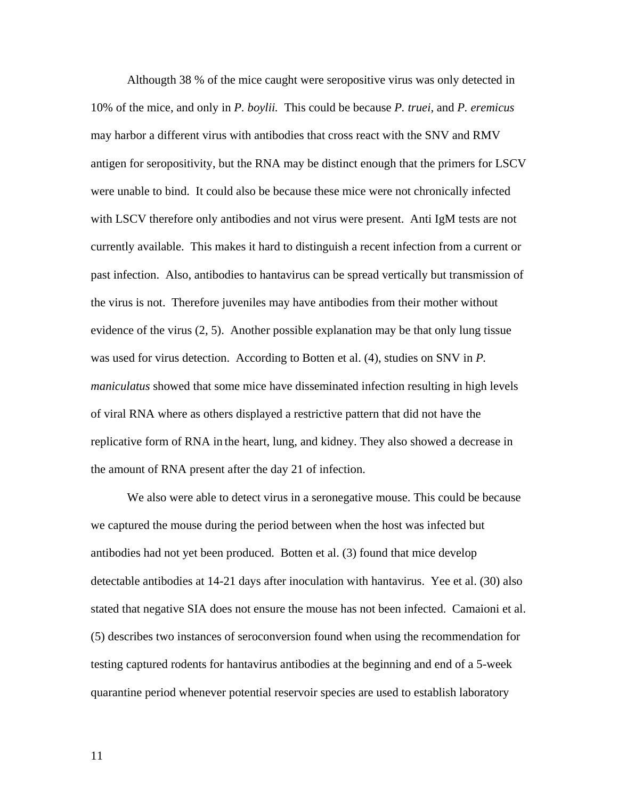Althougth 38 % of the mice caught were seropositive virus was only detected in 10% of the mice, and only in *P. boylii.* This could be because *P. truei,* and *P. eremicus* may harbor a different virus with antibodies that cross react with the SNV and RMV antigen for seropositivity, but the RNA may be distinct enough that the primers for LSCV were unable to bind. It could also be because these mice were not chronically infected with LSCV therefore only antibodies and not virus were present. Anti IgM tests are not currently available. This makes it hard to distinguish a recent infection from a current or past infection. Also, antibodies to hantavirus can be spread vertically but transmission of the virus is not. Therefore juveniles may have antibodies from their mother without evidence of the virus (2, 5). Another possible explanation may be that only lung tissue was used for virus detection. According to Botten et al. (4), studies on SNV in *P. maniculatus* showed that some mice have disseminated infection resulting in high levels of viral RNA where as others displayed a restrictive pattern that did not have the replicative form of RNA in the heart, lung, and kidney. They also showed a decrease in the amount of RNA present after the day 21 of infection.

 We also were able to detect virus in a seronegative mouse. This could be because we captured the mouse during the period between when the host was infected but antibodies had not yet been produced. Botten et al. (3) found that mice develop detectable antibodies at 14-21 days after inoculation with hantavirus. Yee et al. (30) also stated that negative SIA does not ensure the mouse has not been infected. Camaioni et al. (5) describes two instances of seroconversion found when using the recommendation for testing captured rodents for hantavirus antibodies at the beginning and end of a 5-week quarantine period whenever potential reservoir species are used to establish laboratory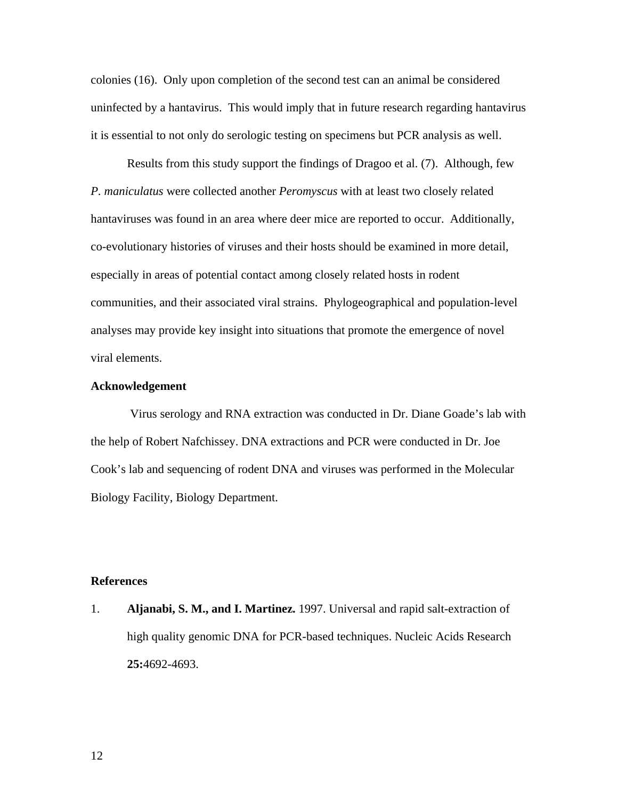colonies (16). Only upon completion of the second test can an animal be considered uninfected by a hantavirus. This would imply that in future research regarding hantavirus it is essential to not only do serologic testing on specimens but PCR analysis as well.

 Results from this study support the findings of Dragoo et al. (7). Although, few *P. maniculatus* were collected another *Peromyscus* with at least two closely related hantaviruses was found in an area where deer mice are reported to occur. Additionally, co-evolutionary histories of viruses and their hosts should be examined in more detail, especially in areas of potential contact among closely related hosts in rodent communities, and their associated viral strains. Phylogeographical and population-level analyses may provide key insight into situations that promote the emergence of novel viral elements.

#### **Acknowledgement**

 Virus serology and RNA extraction was conducted in Dr. Diane Goade's lab with the help of Robert Nafchissey. DNA extractions and PCR were conducted in Dr. Joe Cook's lab and sequencing of rodent DNA and viruses was performed in the Molecular Biology Facility, Biology Department.

#### **References**

1. **Aljanabi, S. M., and I. Martinez.** 1997. Universal and rapid salt-extraction of high quality genomic DNA for PCR-based techniques. Nucleic Acids Research **25:**4692-4693.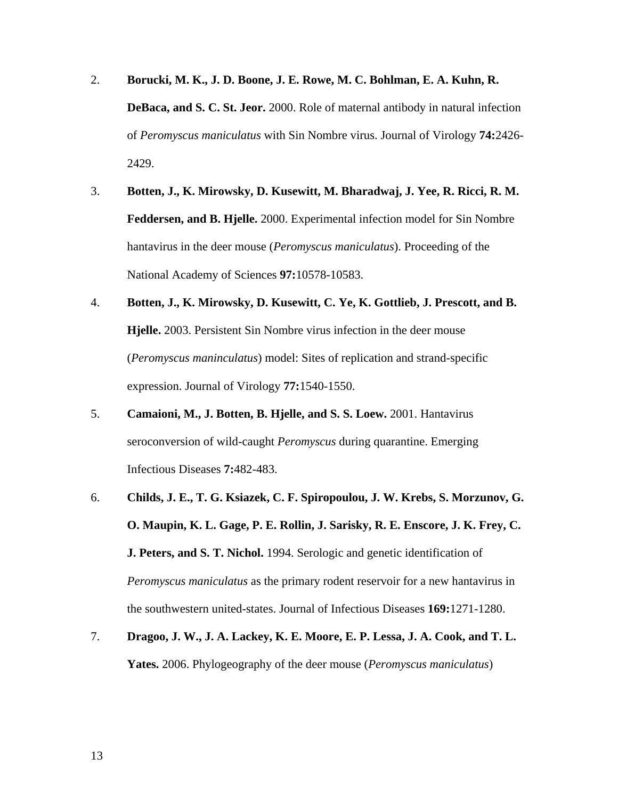- 2. **Borucki, M. K., J. D. Boone, J. E. Rowe, M. C. Bohlman, E. A. Kuhn, R. DeBaca, and S. C. St. Jeor.** 2000. Role of maternal antibody in natural infection of *Peromyscus maniculatus* with Sin Nombre virus. Journal of Virology **74:**2426- 2429.
- 3. **Botten, J., K. Mirowsky, D. Kusewitt, M. Bharadwaj, J. Yee, R. Ricci, R. M. Feddersen, and B. Hjelle.** 2000. Experimental infection model for Sin Nombre hantavirus in the deer mouse (*Peromyscus maniculatus*). Proceeding of the National Academy of Sciences **97:**10578-10583.
- 4. **Botten, J., K. Mirowsky, D. Kusewitt, C. Ye, K. Gottlieb, J. Prescott, and B. Hjelle.** 2003. Persistent Sin Nombre virus infection in the deer mouse (*Peromyscus maninculatus*) model: Sites of replication and strand-specific expression. Journal of Virology **77:**1540-1550.
- 5. **Camaioni, M., J. Botten, B. Hjelle, and S. S. Loew.** 2001. Hantavirus seroconversion of wild-caught *Peromyscus* during quarantine. Emerging Infectious Diseases **7:**482-483.
- 6. **Childs, J. E., T. G. Ksiazek, C. F. Spiropoulou, J. W. Krebs, S. Morzunov, G. O. Maupin, K. L. Gage, P. E. Rollin, J. Sarisky, R. E. Enscore, J. K. Frey, C. J. Peters, and S. T. Nichol.** 1994. Serologic and genetic identification of *Peromyscus maniculatus* as the primary rodent reservoir for a new hantavirus in the southwestern united-states. Journal of Infectious Diseases **169:**1271-1280.
- 7. **Dragoo, J. W., J. A. Lackey, K. E. Moore, E. P. Lessa, J. A. Cook, and T. L. Yates.** 2006. Phylogeography of the deer mouse (*Peromyscus maniculatus*)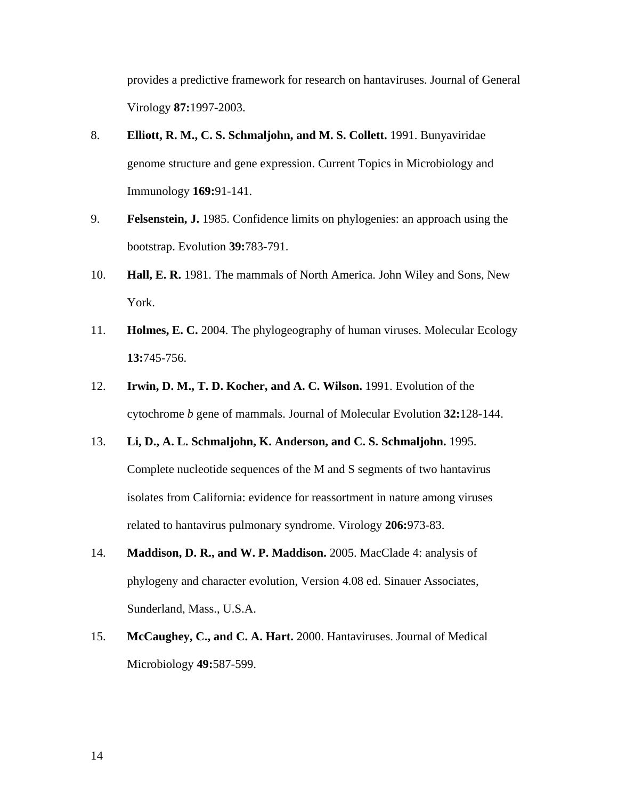provides a predictive framework for research on hantaviruses. Journal of General Virology **87:**1997-2003.

- 8. **Elliott, R. M., C. S. Schmaljohn, and M. S. Collett.** 1991. Bunyaviridae genome structure and gene expression. Current Topics in Microbiology and Immunology **169:**91-141.
- 9. **Felsenstein, J.** 1985. Confidence limits on phylogenies: an approach using the bootstrap. Evolution **39:**783-791.
- 10. **Hall, E. R.** 1981. The mammals of North America. John Wiley and Sons, New York.
- 11. **Holmes, E. C.** 2004. The phylogeography of human viruses. Molecular Ecology **13:**745-756.
- 12. **Irwin, D. M., T. D. Kocher, and A. C. Wilson.** 1991. Evolution of the cytochrome *b* gene of mammals. Journal of Molecular Evolution **32:**128-144.
- 13. **Li, D., A. L. Schmaljohn, K. Anderson, and C. S. Schmaljohn.** 1995. Complete nucleotide sequences of the M and S segments of two hantavirus isolates from California: evidence for reassortment in nature among viruses related to hantavirus pulmonary syndrome. Virology **206:**973-83.
- 14. **Maddison, D. R., and W. P. Maddison.** 2005. MacClade 4: analysis of phylogeny and character evolution, Version 4.08 ed. Sinauer Associates, Sunderland, Mass., U.S.A.
- 15. **McCaughey, C., and C. A. Hart.** 2000. Hantaviruses. Journal of Medical Microbiology **49:**587-599.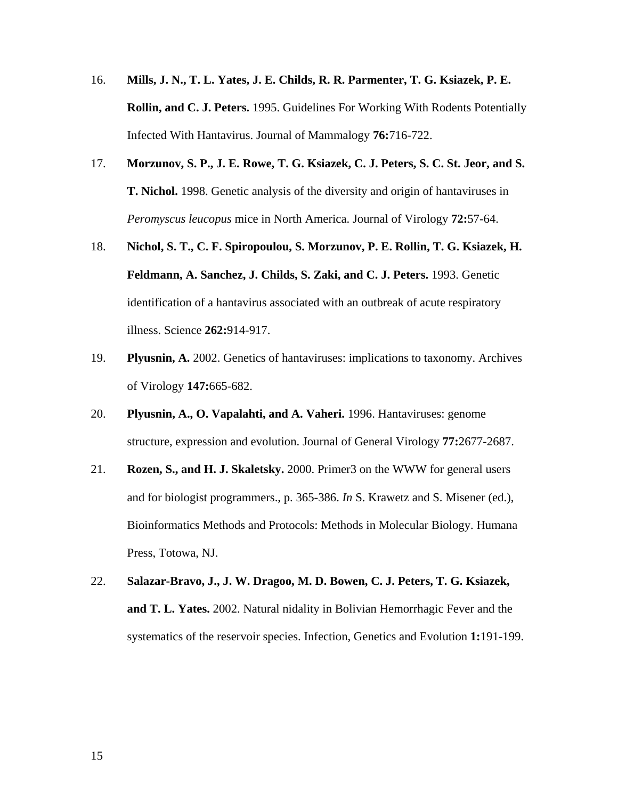- 16. **Mills, J. N., T. L. Yates, J. E. Childs, R. R. Parmenter, T. G. Ksiazek, P. E. Rollin, and C. J. Peters.** 1995. Guidelines For Working With Rodents Potentially Infected With Hantavirus. Journal of Mammalogy **76:**716-722.
- 17. **Morzunov, S. P., J. E. Rowe, T. G. Ksiazek, C. J. Peters, S. C. St. Jeor, and S. T. Nichol.** 1998. Genetic analysis of the diversity and origin of hantaviruses in *Peromyscus leucopus* mice in North America. Journal of Virology **72:**57-64.
- 18. **Nichol, S. T., C. F. Spiropoulou, S. Morzunov, P. E. Rollin, T. G. Ksiazek, H. Feldmann, A. Sanchez, J. Childs, S. Zaki, and C. J. Peters.** 1993. Genetic identification of a hantavirus associated with an outbreak of acute respiratory illness. Science **262:**914-917.
- 19. **Plyusnin, A.** 2002. Genetics of hantaviruses: implications to taxonomy. Archives of Virology **147:**665-682.
- 20. **Plyusnin, A., O. Vapalahti, and A. Vaheri.** 1996. Hantaviruses: genome structure, expression and evolution. Journal of General Virology **77:**2677-2687.
- 21. **Rozen, S., and H. J. Skaletsky.** 2000. Primer3 on the WWW for general users and for biologist programmers., p. 365-386. *In* S. Krawetz and S. Misener (ed.), Bioinformatics Methods and Protocols: Methods in Molecular Biology. Humana Press, Totowa, NJ.
- 22. **Salazar-Bravo, J., J. W. Dragoo, M. D. Bowen, C. J. Peters, T. G. Ksiazek, and T. L. Yates.** 2002. Natural nidality in Bolivian Hemorrhagic Fever and the systematics of the reservoir species. Infection, Genetics and Evolution **1:**191-199.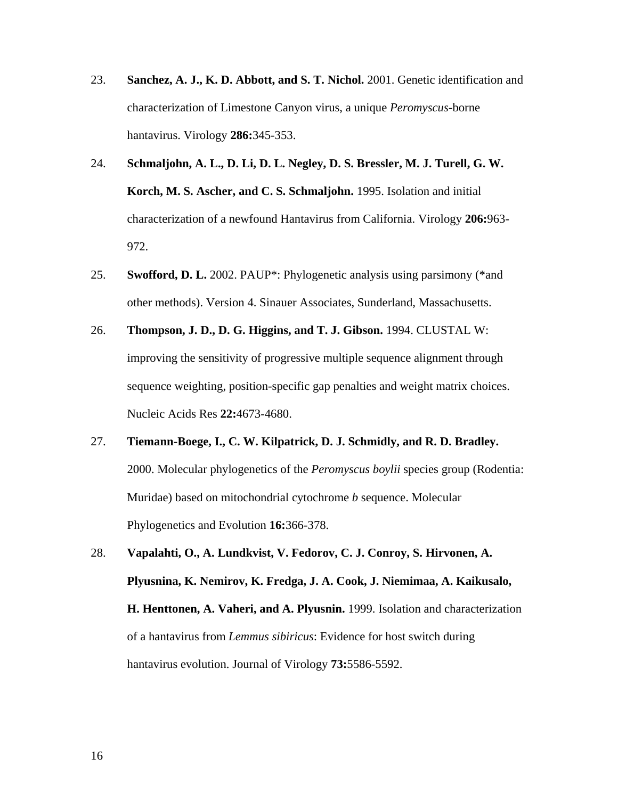- 23. **Sanchez, A. J., K. D. Abbott, and S. T. Nichol.** 2001. Genetic identification and characterization of Limestone Canyon virus, a unique *Peromyscus*-borne hantavirus. Virology **286:**345-353.
- 24. **Schmaljohn, A. L., D. Li, D. L. Negley, D. S. Bressler, M. J. Turell, G. W. Korch, M. S. Ascher, and C. S. Schmaljohn.** 1995. Isolation and initial characterization of a newfound Hantavirus from California. Virology **206:**963- 972.
- 25. **Swofford, D. L.** 2002. PAUP\*: Phylogenetic analysis using parsimony (\*and other methods). Version 4. Sinauer Associates, Sunderland, Massachusetts.
- 26. **Thompson, J. D., D. G. Higgins, and T. J. Gibson.** 1994. CLUSTAL W: improving the sensitivity of progressive multiple sequence alignment through sequence weighting, position-specific gap penalties and weight matrix choices. Nucleic Acids Res **22:**4673-4680.
- 27. **Tiemann-Boege, I., C. W. Kilpatrick, D. J. Schmidly, and R. D. Bradley.** 2000. Molecular phylogenetics of the *Peromyscus boylii* species group (Rodentia: Muridae) based on mitochondrial cytochrome *b* sequence. Molecular Phylogenetics and Evolution **16:**366-378.
- 28. **Vapalahti, O., A. Lundkvist, V. Fedorov, C. J. Conroy, S. Hirvonen, A. Plyusnina, K. Nemirov, K. Fredga, J. A. Cook, J. Niemimaa, A. Kaikusalo, H. Henttonen, A. Vaheri, and A. Plyusnin.** 1999. Isolation and characterization of a hantavirus from *Lemmus sibiricus*: Evidence for host switch during hantavirus evolution. Journal of Virology **73:**5586-5592.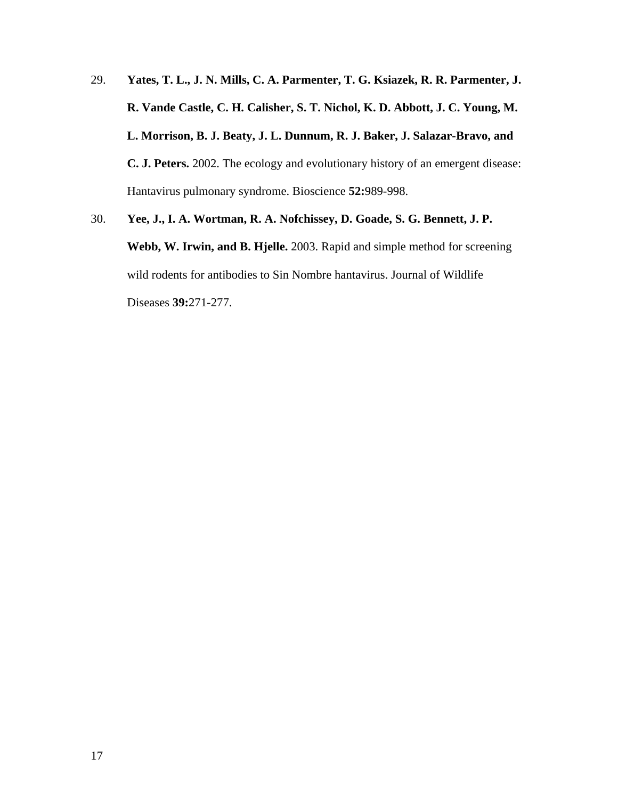- 29. **Yates, T. L., J. N. Mills, C. A. Parmenter, T. G. Ksiazek, R. R. Parmenter, J. R. Vande Castle, C. H. Calisher, S. T. Nichol, K. D. Abbott, J. C. Young, M. L. Morrison, B. J. Beaty, J. L. Dunnum, R. J. Baker, J. Salazar-Bravo, and C. J. Peters.** 2002. The ecology and evolutionary history of an emergent disease: Hantavirus pulmonary syndrome. Bioscience **52:**989-998.
- 30. **Yee, J., I. A. Wortman, R. A. Nofchissey, D. Goade, S. G. Bennett, J. P. Webb, W. Irwin, and B. Hjelle.** 2003. Rapid and simple method for screening wild rodents for antibodies to Sin Nombre hantavirus. Journal of Wildlife Diseases **39:**271-277.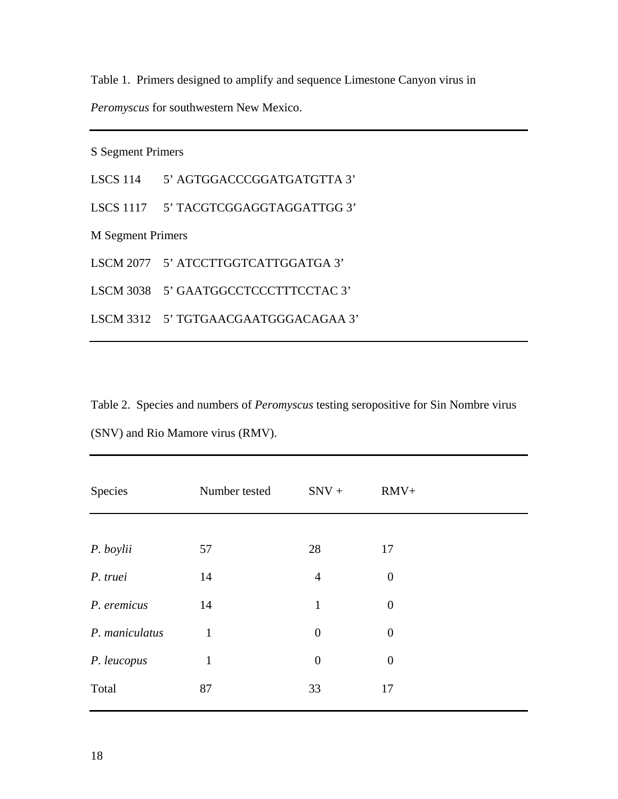Table 1. Primers designed to amplify and sequence Limestone Canyon virus in

*Peromyscus* for southwestern New Mexico.

S Segment Primers

LSCS 114 5' AGTGGACCCGGATGATGTTA 3'

LSCS 1117 5' TACGTCGGAGGTAGGATTGG 3'

M Segment Primers

LSCM 2077 5' ATCCTTGGTCATTGGATGA 3'

LSCM 3038 5' GAATGGCCTCCCTTTCCTAC 3'

LSCM 3312 5' TGTGAACGAATGGGACAGAA 3'

Table 2. Species and numbers of *Peromyscus* testing seropositive for Sin Nombre virus (SNV) and Rio Mamore virus (RMV).

| Species        | Number tested | $SNV +$          | $RMV+$           |  |
|----------------|---------------|------------------|------------------|--|
|                |               |                  |                  |  |
| P. boylii      | 57            | 28               | 17               |  |
| P. truei       | 14            | $\overline{4}$   | $\boldsymbol{0}$ |  |
| P. eremicus    | 14            | $\mathbf{1}$     | $\overline{0}$   |  |
| P. maniculatus | $\mathbf{1}$  | $\theta$         | $\boldsymbol{0}$ |  |
| P. leucopus    | $\mathbf{1}$  | $\boldsymbol{0}$ | $\boldsymbol{0}$ |  |
| Total          | 87            | 33               | 17               |  |
|                |               |                  |                  |  |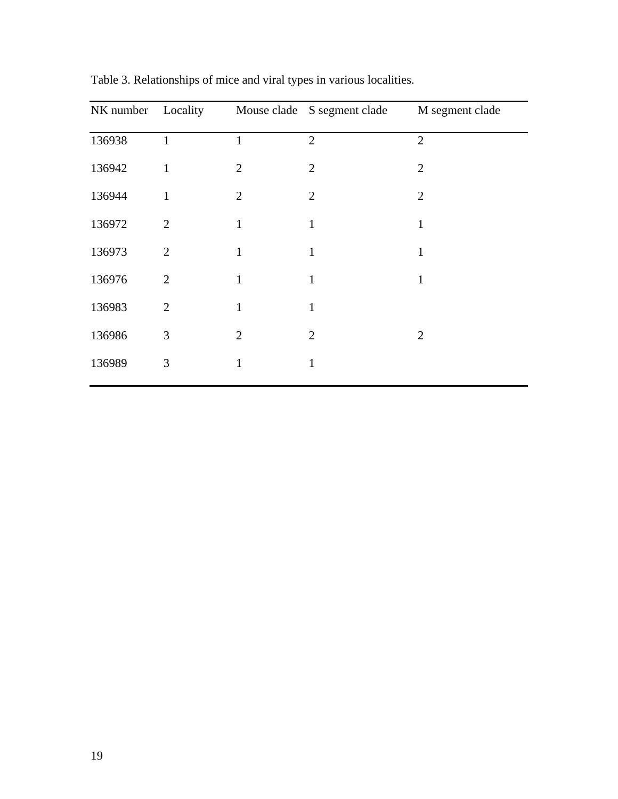|        |                |                | NK number Locality Mouse clade S segment clade | M segment clade |
|--------|----------------|----------------|------------------------------------------------|-----------------|
| 136938 | $\mathbf{1}$   | $\mathbf{1}$   | $\overline{2}$                                 | $\overline{2}$  |
| 136942 | $\mathbf{1}$   | $\overline{2}$ | $\overline{2}$                                 | $\overline{2}$  |
| 136944 | 1              | $\overline{2}$ | $\overline{2}$                                 | $\overline{2}$  |
| 136972 | 2              | $\mathbf{1}$   | $\mathbf{1}$                                   | $\mathbf{1}$    |
| 136973 | $\overline{2}$ | 1              | $\mathbf{1}$                                   | 1               |
| 136976 | 2              | 1              | $\mathbf{1}$                                   | 1               |
| 136983 | $\overline{2}$ | $\mathbf{1}$   | $\mathbf{1}$                                   |                 |
| 136986 | 3              | $\overline{2}$ | $\overline{2}$                                 | $\overline{2}$  |
| 136989 | 3              | $\mathbf{1}$   | $\mathbf{1}$                                   |                 |

Table 3. Relationships of mice and viral types in various localities.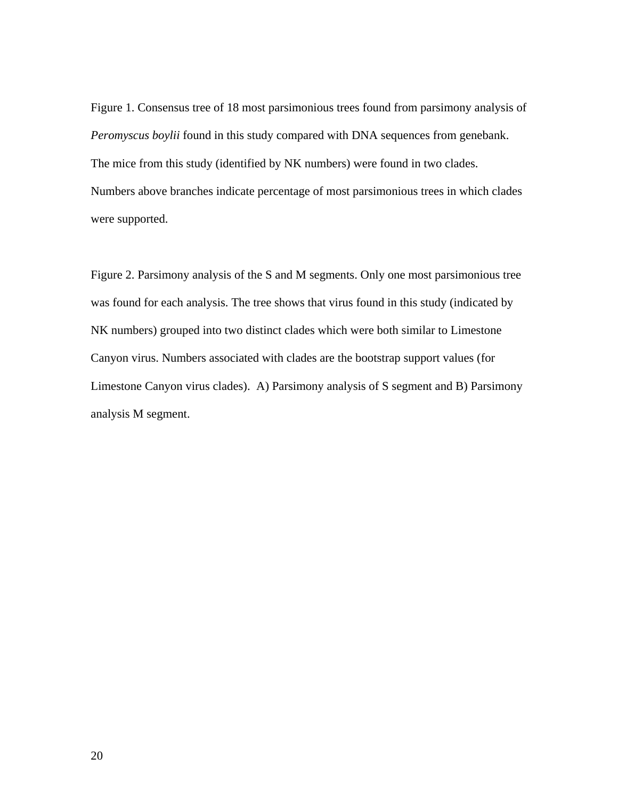Figure 1. Consensus tree of 18 most parsimonious trees found from parsimony analysis of *Peromyscus boylii* found in this study compared with DNA sequences from genebank. The mice from this study (identified by NK numbers) were found in two clades. Numbers above branches indicate percentage of most parsimonious trees in which clades were supported.

Figure 2. Parsimony analysis of the S and M segments. Only one most parsimonious tree was found for each analysis. The tree shows that virus found in this study (indicated by NK numbers) grouped into two distinct clades which were both similar to Limestone Canyon virus. Numbers associated with clades are the bootstrap support values (for Limestone Canyon virus clades). A) Parsimony analysis of S segment and B) Parsimony analysis M segment.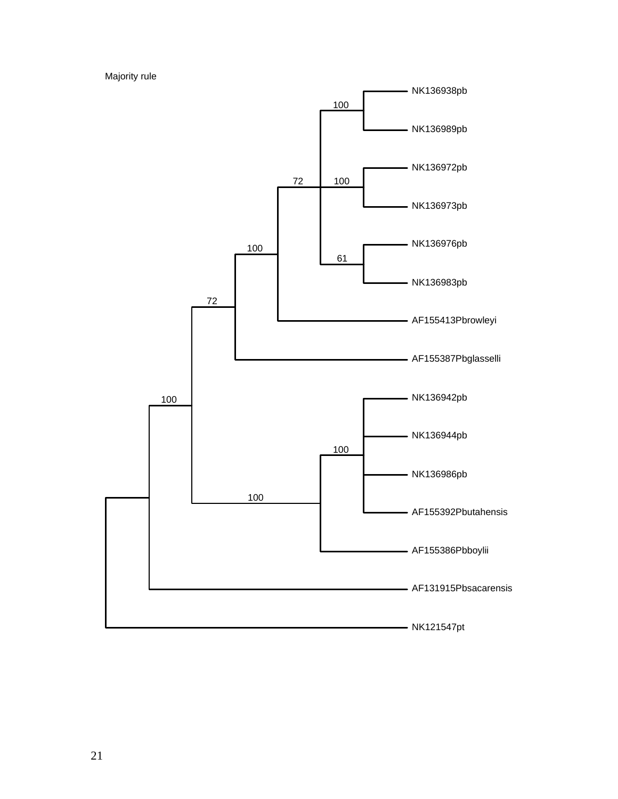Majority rule

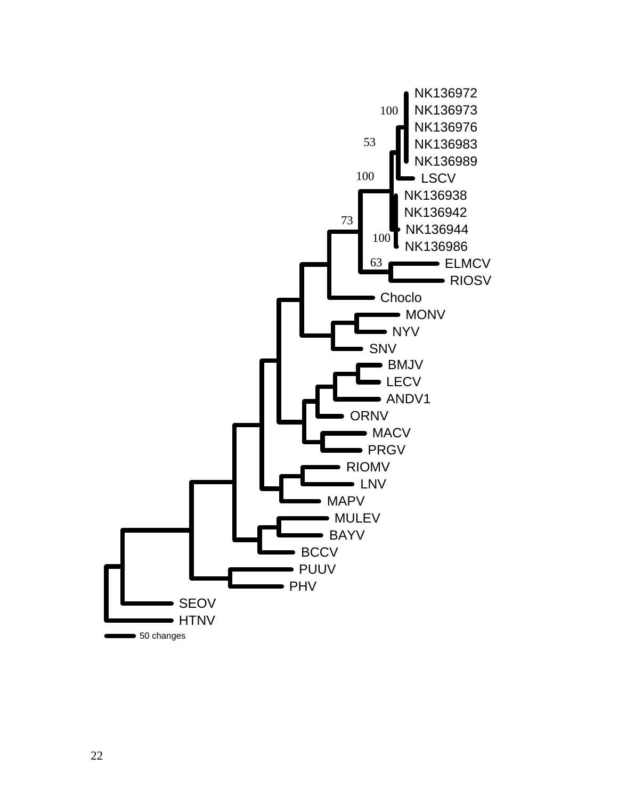